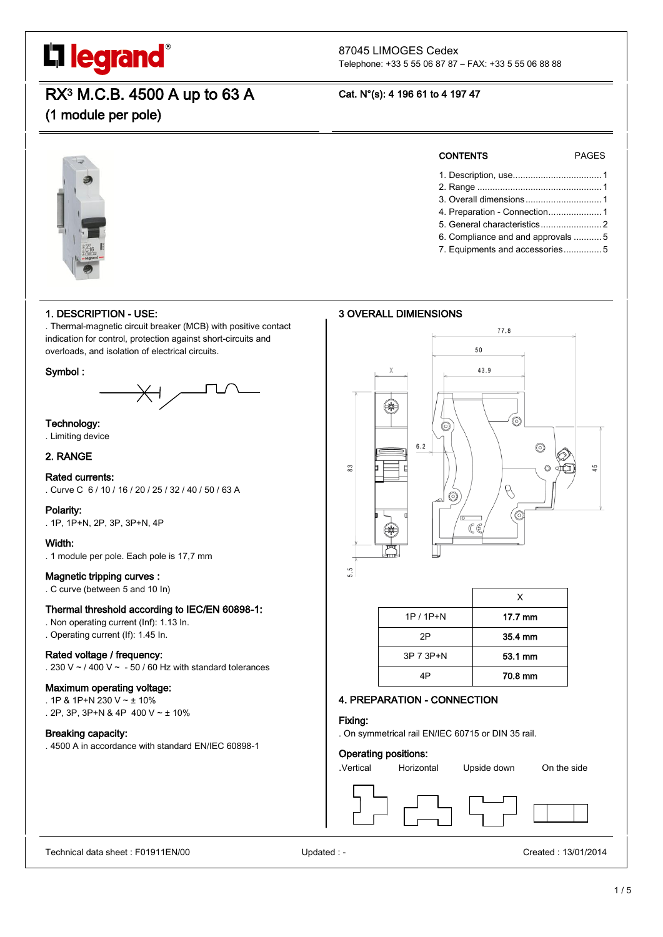# L'I legrand®

#### 87045 LIMOGES Cedex Telephone: +33 5 55 06 87 87 – FAX: +33 5 55 06 88 88

RX3 M.C.B. 4500 A up to 63 A

(1 module per pole)

#### Cat. N°(s): 4 196 61 to 4 197 47



#### 1. DESCRIPTION - USE:

. Thermal-magnetic circuit breaker (MCB) with positive contact indication for control, protection against short-circuits and overloads, and isolation of electrical circuits.

#### Symbol :



#### Technology:

. Limiting device

#### 2. RANGE

#### Rated currents:

. Curve C 6 / 10 / 16 / 20 / 25 / 32 / 40 / 50 / 63 A

#### Polarity:

. 1P, 1P+N, 2P, 3P, 3P+N, 4P

#### Width:

. 1 module per pole. Each pole is 17,7 mm

#### Magnetic tripping curves :

. C curve (between 5 and 10 In)

#### Thermal threshold according to IEC/EN 60898-1:

- . Non operating current (Inf): 1.13 In.
- . Operating current (If): 1.45 In.

#### Rated voltage / frequency:

. 230 V  $\sim$  / 400 V  $\sim$  - 50 / 60 Hz with standard tolerances

#### Maximum operating voltage:

- . 1P & 1P+N 230 V ~ ± 10%
- . 2P, 3P, 3P+N & 4P 400 V ~ ± 10%

#### Breaking capacity:

. 4500 A in accordance with standard EN/IEC 60898-1

### CONTENTS PAGES

- 1. Description, use................................... 1
- 2. Range ................................................. 1
- 3. Overall dimensions.............................. 1
- 4. Preparation Connection..................... 1 5. General characteristics........................ 2
- 6. Compliance and and approvals ........... 5
- 7. Equipments and accessories............... 5

#### 3 OVERALL DIMIENSIONS





#### 4. PREPARATION - CONNECTION

#### Fixing:

. On symmetrical rail EN/IEC 60715 or DIN 35 rail.

#### Operating positions:

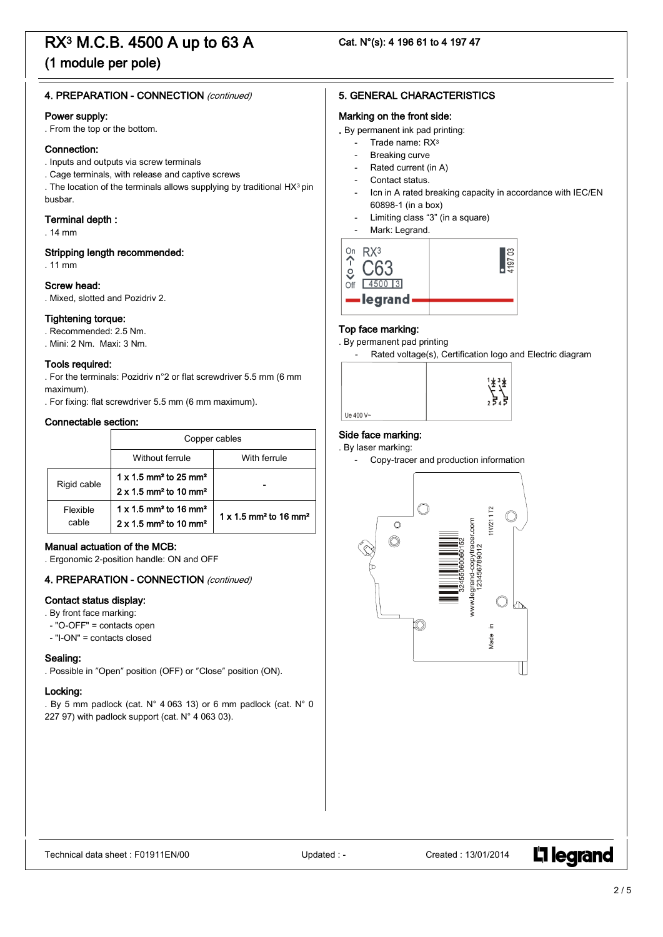### (1 module per pole)

#### 4. PREPARATION - CONNECTION (continued)

#### Power supply:

. From the top or the bottom.

#### Connection:

- . Inputs and outputs via screw terminals
- . Cage terminals, with release and captive screws

. The location of the terminals allows supplying by traditional HX3 pin busbar.

#### Terminal depth :

. 14 mm

#### Stripping length recommended:

. 11 mm

#### Screw head:

. Mixed, slotted and Pozidriv 2.

#### Tightening torque:

. Recommended: 2.5 Nm.

. Mini: 2 Nm. Maxi: 3 Nm.

#### Tools required:

. For the terminals: Pozidriv n°2 or flat screwdriver 5.5 mm (6 mm maximum).

. For fixing: flat screwdriver 5.5 mm (6 mm maximum).

#### Connectable section:

|                   | Copper cables                                                                                                |                                                      |  |  |  |
|-------------------|--------------------------------------------------------------------------------------------------------------|------------------------------------------------------|--|--|--|
|                   | Without ferrule<br>With ferrule                                                                              |                                                      |  |  |  |
| Rigid cable       | $1 \times 1.5$ mm <sup>2</sup> to 25 mm <sup>2</sup><br>$2 \times 1.5$ mm <sup>2</sup> to 10 mm <sup>2</sup> |                                                      |  |  |  |
| Flexible<br>cable | $1 \times 1.5$ mm <sup>2</sup> to 16 mm <sup>2</sup><br>$2 \times 1.5$ mm <sup>2</sup> to 10 mm <sup>2</sup> | $1 \times 1.5$ mm <sup>2</sup> to 16 mm <sup>2</sup> |  |  |  |

#### Manual actuation of the MCB:

. Ergonomic 2-position handle: ON and OFF

#### 4. PREPARATION - CONNECTION (continued)

#### Contact status display:

. By front face marking:

- "O-OFF" = contacts open
- "I-ON" = contacts closed

#### Sealing:

. Possible in "Open" position (OFF) or "Close" position (ON).

#### Locking:

. By 5 mm padlock (cat. N° 4 063 13) or 6 mm padlock (cat. N° 0 227 97) with padlock support (cat. N° 4 063 03).

#### 5. GENERAL CHARACTERISTICS

#### Marking on the front side:

- . By permanent ink pad printing:
	- Trade name: RX<sup>3</sup>
	- Breaking curve
	- Rated current (in A)
	- Contact status.
	- Icn in A rated breaking capacity in accordance with IEC/EN 60898-1 (in a box)
	- Limiting class "3" (in a square)
	- Mark: Legrand.



#### Top face marking:

- . By permanent pad printing
	- Rated voltage(s), Certification logo and Electric diagram



#### Side face marking:

Ue 400 V~

. By laser marking:



**L'i legrand**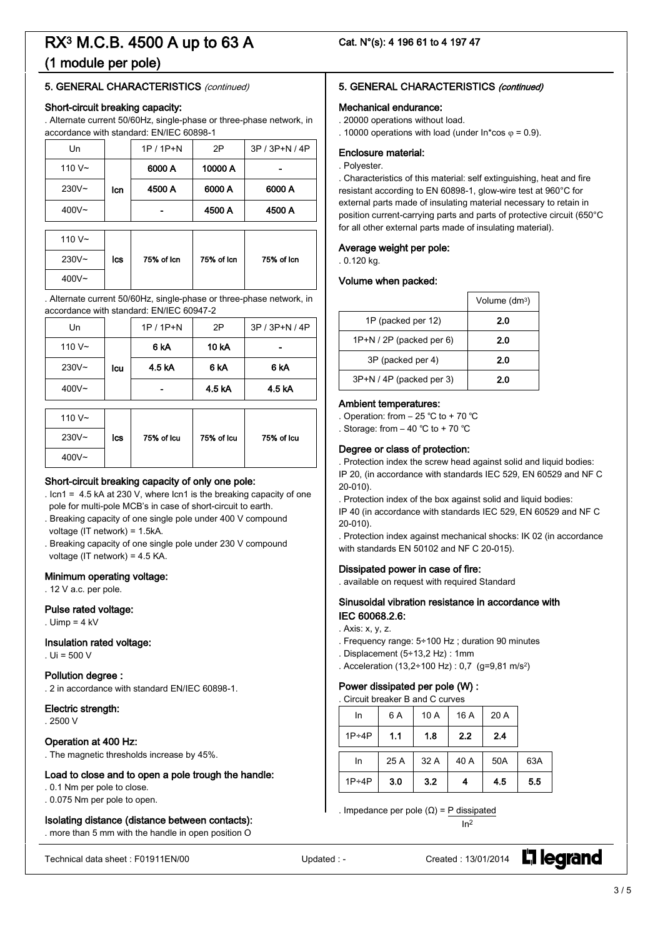### (1 module per pole)

#### 5. GENERAL CHARACTERISTICS (continued)

#### Short-circuit breaking capacity:

. Alternate current 50/60Hz, single-phase or three-phase network, in accordance with standard: EN/IEC 60898-1

| Un        |     | $1P / 1P + N$ | 2P         | 3P / 3P+N / 4P |  |
|-----------|-----|---------------|------------|----------------|--|
| 110 $V -$ |     | 6000 A        | 10000 A    |                |  |
| $230V -$  | lcn | 4500 A        | 6000 A     | 6000 A         |  |
| $400V -$  |     | 4500 A        |            | 4500 A         |  |
|           |     |               |            |                |  |
| 110 $V -$ |     |               |            |                |  |
| $230V -$  | lcs | 75% of Icn    | 75% of Icn | 75% of Icn     |  |
|           |     |               |            |                |  |

. Alternate current 50/60Hz, single-phase or three-phase network, in accordance with standard: EN/IEC 60947-2

| Un        |     | $1P / 1P + N$ | 2P           | 3P / 3P+N / 4P |
|-----------|-----|---------------|--------------|----------------|
| 110 $V -$ |     | 6 kA          | <b>10 kA</b> | -              |
| $230V -$  | lcu | 4.5 kA        | 6 kA         | 6 kA           |
| $400V -$  |     |               | 4.5 kA       | 4.5 kA         |

| 110 $V -$ |     |            |            |            |
|-----------|-----|------------|------------|------------|
| $230V -$  | lcs | 75% of Icu | 75% of Icu | 75% of Icu |
| $400V -$  |     |            |            |            |

#### Short-circuit breaking capacity of only one pole:

. Icn1 = 4.5 kA at 230 V, where Icn1 is the breaking capacity of one pole for multi-pole MCB's in case of short-circuit to earth.

- . Breaking capacity of one single pole under 400 V compound voltage (IT network) = 1.5kA.
- . Breaking capacity of one single pole under 230 V compound voltage (IT network) = 4.5 KA.

#### Minimum operating voltage:

. 12 V a.c. per pole.

#### Pulse rated voltage:

. Uimp = 4 kV

400V~

#### Insulation rated voltage:

 $U = 500 V$ 

#### Pollution degree :

. 2 in accordance with standard EN/IEC 60898-1.

#### Electric strength:

. 2500 V

#### Operation at 400 Hz:

. The magnetic thresholds increase by 45%.

#### Load to close and to open a pole trough the handle:

. 0.1 Nm per pole to close.

. 0.075 Nm per pole to open.

#### Isolating distance (distance between contacts):

. more than 5 mm with the handle in open position O

#### 5. GENERAL CHARACTERISTICS (continued)

#### Mechanical endurance:

. 20000 operations without load.

. 10000 operations with load (under  $\ln$ \*cos  $\varphi$  = 0.9).

### Enclosure material:

#### . Polyester.

. Characteristics of this material: self extinguishing, heat and fire resistant according to EN 60898-1, glow-wire test at 960°C for external parts made of insulating material necessary to retain in position current-carrying parts and parts of protective circuit (650°C for all other external parts made of insulating material).

#### Average weight per pole:

. 0.120 kg.

#### Volume when packed:

|                          | Volume (dm <sup>3</sup> ) |
|--------------------------|---------------------------|
| 1P (packed per 12)       | 2.0                       |
| $1P+N/2P$ (packed per 6) | 2.0                       |
| 3P (packed per 4)        | 2.0                       |
| 3P+N / 4P (packed per 3) | 2.0                       |

#### Ambient temperatures:

Operation: from  $-25$  °C to  $+70$  °C Storage: from  $-40$  °C to  $+70$  °C

#### Degree or class of protection:

. Protection index the screw head against solid and liquid bodies: IP 20, (in accordance with standards IEC 529, EN 60529 and NF C 20-010).

. Protection index of the box against solid and liquid bodies:

IP 40 (in accordance with standards IEC 529, EN 60529 and NF C 20-010).

. Protection index against mechanical shocks: IK 02 (in accordance with standards EN 50102 and NF C 20-015).

#### Dissipated power in case of fire:

. available on request with required Standard

#### Sinusoidal vibration resistance in accordance with IEC 60068.2.6:

- . Axis: x, y, z.
- . Frequency range: 5÷100 Hz ; duration 90 minutes
- . Displacement (5÷13,2 Hz) : 1mm
- . Acceleration (13,2÷100 Hz) : 0,7 (g=9,81 m/s2)

#### Power dissipated per pole (W) :

| . Circuit breaker B and C curves |      |      |      |      |     |
|----------------------------------|------|------|------|------|-----|
| In                               | 6 A  | 10A  | 16 A | 20 A |     |
| $1P \div 4P$                     | 1.1  | 1.8  | 2.2  | 2.4  |     |
| In                               | 25 A | 32 A | 40 A | 50A  | 63A |
| $1P \div 4P$                     | 3.0  | 3.2  |      | 4.5  | 5.5 |

. Impedance per pole (Ω) = P dissipated

 $In<sup>2</sup>$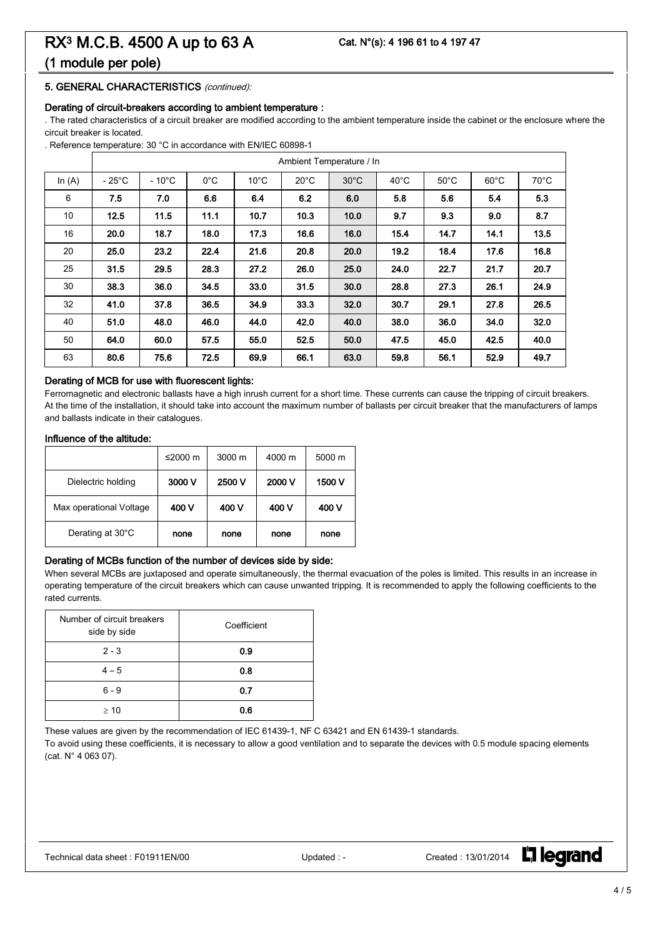### (1 module per pole)

#### 5. GENERAL CHARACTERISTICS (continued):

#### Derating of circuit-breakers according to ambient temperature :

. The rated characteristics of a circuit breaker are modified according to the ambient temperature inside the cabinet or the enclosure where the circuit breaker is located.

. Reference temperature: 30 °C in accordance with EN/IEC 60898-1

|          | Ambient Temperature / In |                 |               |                |                |                |                |                |                |                |
|----------|--------------------------|-----------------|---------------|----------------|----------------|----------------|----------------|----------------|----------------|----------------|
| In $(A)$ | $-25^{\circ}$ C          | $-10^{\circ}$ C | $0^{\circ}$ C | $10^{\circ}$ C | $20^{\circ}$ C | $30^{\circ}$ C | $40^{\circ}$ C | $50^{\circ}$ C | $60^{\circ}$ C | $70^{\circ}$ C |
| 6        | 7.5                      | 7.0             | 6.6           | 6.4            | 6.2            | 6.0            | 5.8            | 5.6            | 5.4            | 5.3            |
| 10       | 12.5                     | 11.5            | 11.1          | 10.7           | 10.3           | 10.0           | 9.7            | 9.3            | 9.0            | 8.7            |
| 16       | 20.0                     | 18.7            | 18.0          | 17.3           | 16.6           | 16.0           | 15.4           | 14.7           | 14.1           | 13.5           |
| 20       | 25.0                     | 23.2            | 22.4          | 21.6           | 20.8           | 20.0           | 19.2           | 18.4           | 17.6           | 16.8           |
| 25       | 31.5                     | 29.5            | 28.3          | 27.2           | 26.0           | 25.0           | 24.0           | 22.7           | 21.7           | 20.7           |
| 30       | 38.3                     | 36.0            | 34.5          | 33.0           | 31.5           | 30.0           | 28.8           | 27.3           | 26.1           | 24.9           |
| 32       | 41.0                     | 37.8            | 36.5          | 34.9           | 33.3           | 32.0           | 30.7           | 29.1           | 27.8           | 26.5           |
| 40       | 51.0                     | 48.0            | 46.0          | 44.0           | 42.0           | 40.0           | 38.0           | 36.0           | 34.0           | 32.0           |
| 50       | 64.0                     | 60.0            | 57.5          | 55.0           | 52.5           | 50.0           | 47.5           | 45.0           | 42.5           | 40.0           |
| 63       | 80.6                     | 75.6            | 72.5          | 69.9           | 66.1           | 63.0           | 59.8           | 56.1           | 52.9           | 49.7           |

#### Derating of MCB for use with fluorescent lights:

Ferromagnetic and electronic ballasts have a high inrush current for a short time. These currents can cause the tripping of circuit breakers. At the time of the installation, it should take into account the maximum number of ballasts per circuit breaker that the manufacturers of lamps and ballasts indicate in their catalogues.

#### Influence of the altitude:

|                         | ≤2000 $m$ | $3000 \text{ m}$ | 4000 m | 5000 m |
|-------------------------|-----------|------------------|--------|--------|
| Dielectric holding      | 3000 V    | 2500 V           | 2000 V | 1500 V |
| Max operational Voltage | 400 V     | 400 V            | 400 V  | 400 V  |
| Derating at 30°C        | none      | none             | none   | none   |

#### Derating of MCBs function of the number of devices side by side:

When several MCBs are juxtaposed and operate simultaneously, the thermal evacuation of the poles is limited. This results in an increase in operating temperature of the circuit breakers which can cause unwanted tripping. It is recommended to apply the following coefficients to the rated currents.

| Number of circuit breakers<br>side by side | Coefficient |
|--------------------------------------------|-------------|
| $2 - 3$                                    | 0.9         |
| $4 - 5$                                    | 0.8         |
| $6 - 9$                                    | 0.7         |
| $\geq 10$                                  | 0.6         |

These values are given by the recommendation of IEC 61439-1, NF C 63421 and EN 61439-1 standards.

To avoid using these coefficients, it is necessary to allow a good ventilation and to separate the devices with 0.5 module spacing elements (cat. N° 4 063 07).